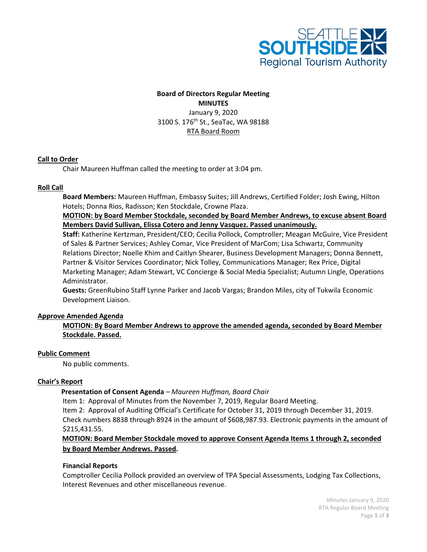

# **Board of Directors Regular Meeting MINUTES** January 9, 2020 3100 S. 176th St., SeaTac, WA 98188 RTA Board Room

## **Call to Order**

Chair Maureen Huffman called the meeting to order at 3:04 pm.

## **Roll Call**

**Board Members:** Maureen Huffman, Embassy Suites; Jill Andrews, Certified Folder; Josh Ewing, Hilton Hotels; Donna Rios, Radisson; Ken Stockdale, Crowne Plaza.

**MOTION: by Board Member Stockdale, seconded by Board Member Andrews, to excuse absent Board Members David Sullivan, Elissa Cotero and Jenny Vasquez. Passed unanimously.**

**Staff:** Katherine Kertzman, President/CEO; Cecilia Pollock, Comptroller; Meagan McGuire, Vice President of Sales & Partner Services; Ashley Comar, Vice President of MarCom; Lisa Schwartz, Community Relations Director; Noelle Khim and Caitlyn Shearer, Business Development Managers; Donna Bennett, Partner & Visitor Services Coordinator; Nick Tolley, Communications Manager; Rex Price, Digital Marketing Manager; Adam Stewart, VC Concierge & Social Media Specialist; Autumn Lingle, Operations Administrator.

**Guests:** GreenRubino Staff Lynne Parker and Jacob Vargas; Brandon Miles, city of Tukwila Economic Development Liaison.

#### **Approve Amended Agenda**

**MOTION: By Board Member Andrews to approve the amended agenda, seconded by Board Member Stockdale. Passed.**

#### **Public Comment**

No public comments.

#### **Chair's Report**

#### **Presentation of Consent Agenda** *– Maureen Huffman, Board Chair*

Item 1: Approval of Minutes from the November 7, 2019, Regular Board Meeting.

Item 2: Approval of Auditing Official's Certificate for October 31, 2019 through December 31, 2019. Check numbers 8838 through 8924 in the amount of \$608,987.93. Electronic payments in the amount of \$215,431.55.

# **MOTION: Board Member Stockdale moved to approve Consent Agenda Items 1 through 2, seconded by Board Member Andrews. Passed.**

# **Financial Reports**

Comptroller Cecilia Pollock provided an overview of TPA Special Assessments, Lodging Tax Collections, Interest Revenues and other miscellaneous revenue.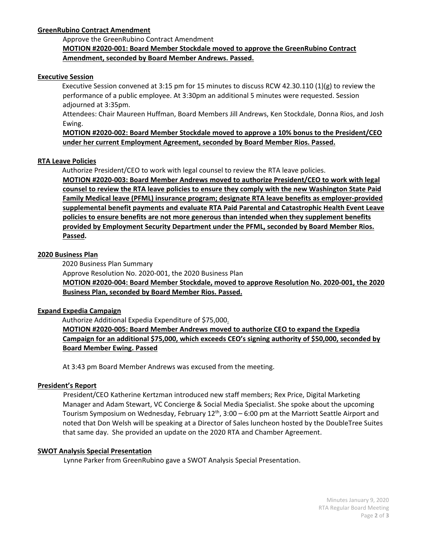# **GreenRubino Contract Amendment**

# Approve the GreenRubino Contract Amendment **MOTION #2020-001: Board Member Stockdale moved to approve the GreenRubino Contract Amendment, seconded by Board Member Andrews. Passed.**

#### **Executive Session**

Executive Session convened at 3:15 pm for 15 minutes to discuss RCW 42.30.110 (1)(g) to review the performance of a public employee. At 3:30pm an additional 5 minutes were requested. Session adjourned at 3:35pm.

Attendees: Chair Maureen Huffman, Board Members Jill Andrews, Ken Stockdale, Donna Rios, and Josh Ewing.

**MOTION #2020-002: Board Member Stockdale moved to approve a 10% bonus to the President/CEO under her current Employment Agreement, seconded by Board Member Rios. Passed.**

#### **RTA Leave Policies**

Authorize President/CEO to work with legal counsel to review the RTA leave policies.

**MOTION #2020-003: Board Member Andrews moved to authorize President/CEO to work with legal counsel to review the RTA leave policies to ensure they comply with the new Washington State Paid Family Medical leave (PFML) insurance program; designate RTA leave benefits as employer-provided supplemental benefit payments and evaluate RTA Paid Parental and Catastrophic Health Event Leave policies to ensure benefits are not more generous than intended when they supplement benefits provided by Employment Security Department under the PFML, seconded by Board Member Rios. Passed.**

#### **2020 Business Plan**

2020 Business Plan Summary Approve Resolution No. 2020-001, the 2020 Business Plan **MOTION #2020-004: Board Member Stockdale, moved to approve Resolution No. 2020-001, the 2020 Business Plan, seconded by Board Member Rios. Passed.**

#### **Expand Expedia Campaign**

 Authorize Additional Expedia Expenditure of \$75,000. **MOTION #2020-005: Board Member Andrews moved to authorize CEO to expand the Expedia Campaign for an additional \$75,000, which exceeds CEO's signing authority of \$50,000, seconded by Board Member Ewing. Passed**

At 3:43 pm Board Member Andrews was excused from the meeting.

#### **President's Report**

President/CEO Katherine Kertzman introduced new staff members; Rex Price, Digital Marketing Manager and Adam Stewart, VC Concierge & Social Media Specialist. She spoke about the upcoming Tourism Symposium on Wednesday, February  $12<sup>th</sup>$ , 3:00 – 6:00 pm at the Marriott Seattle Airport and noted that Don Welsh will be speaking at a Director of Sales luncheon hosted by the DoubleTree Suites that same day. She provided an update on the 2020 RTA and Chamber Agreement.

#### **SWOT Analysis Special Presentation**

Lynne Parker from GreenRubino gave a SWOT Analysis Special Presentation.